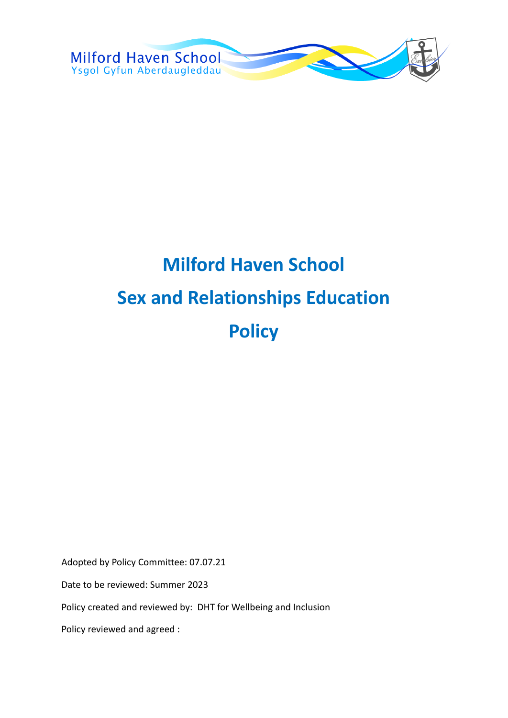

# **Milford Haven School Sex and Relationships Education Policy**

Adopted by Policy Committee: 07.07.21

Date to be reviewed: Summer 2023

Policy created and reviewed by: DHT for Wellbeing and Inclusion

Policy reviewed and agreed :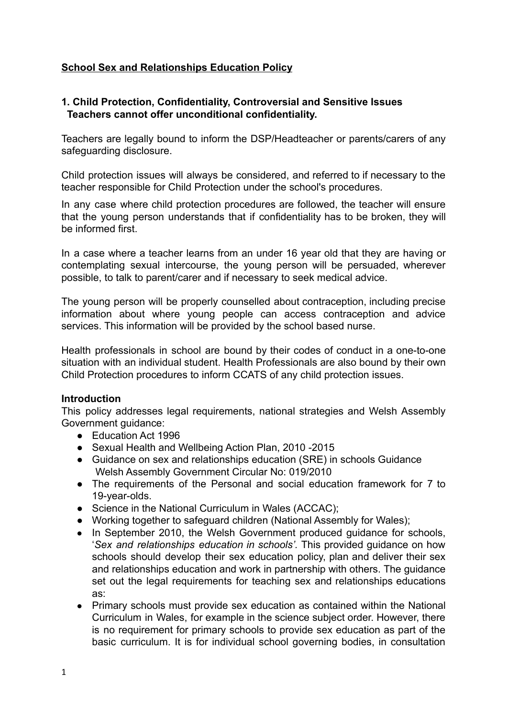# **School Sex and Relationships Education Policy**

## **1. Child Protection, Confidentiality, Controversial and Sensitive Issues Teachers cannot offer unconditional confidentiality.**

Teachers are legally bound to inform the DSP/Headteacher or parents/carers of any safeguarding disclosure.

Child protection issues will always be considered, and referred to if necessary to the teacher responsible for Child Protection under the school's procedures.

In any case where child protection procedures are followed, the teacher will ensure that the young person understands that if confidentiality has to be broken, they will be informed first.

In a case where a teacher learns from an under 16 year old that they are having or contemplating sexual intercourse, the young person will be persuaded, wherever possible, to talk to parent/carer and if necessary to seek medical advice.

The young person will be properly counselled about contraception, including precise information about where young people can access contraception and advice services. This information will be provided by the school based nurse.

Health professionals in school are bound by their codes of conduct in a one-to-one situation with an individual student. Health Professionals are also bound by their own Child Protection procedures to inform CCATS of any child protection issues.

#### **Introduction**

This policy addresses legal requirements, national strategies and Welsh Assembly Government guidance:

- Education Act 1996
- Sexual Health and Wellbeing Action Plan, 2010 -2015
- Guidance on sex and relationships education (SRE) in schools Guidance Welsh Assembly Government Circular No: 019/2010
- The requirements of the Personal and social education framework for 7 to 19-year-olds.
- Science in the National Curriculum in Wales (ACCAC);
- Working together to safeguard children (National Assembly for Wales);
- In September 2010, the Welsh Government produced guidance for schools, '*Sex and relationships education in schools'.* This provided guidance on how schools should develop their sex education policy, plan and deliver their sex and relationships education and work in partnership with others. The guidance set out the legal requirements for teaching sex and relationships educations as:
- Primary schools must provide sex education as contained within the National Curriculum in Wales, for example in the science subject order. However, there is no requirement for primary schools to provide sex education as part of the basic curriculum. It is for individual school governing bodies, in consultation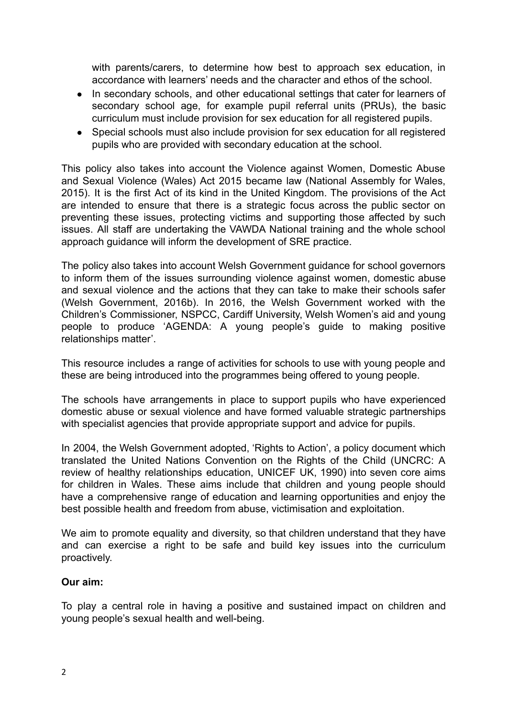with parents/carers, to determine how best to approach sex education, in accordance with learners' needs and the character and ethos of the school.

- In secondary schools, and other educational settings that cater for learners of secondary school age, for example pupil referral units (PRUs), the basic curriculum must include provision for sex education for all registered pupils.
- Special schools must also include provision for sex education for all registered pupils who are provided with secondary education at the school.

This policy also takes into account the Violence against Women, Domestic Abuse and Sexual Violence (Wales) Act 2015 became law (National Assembly for Wales, 2015). It is the first Act of its kind in the United Kingdom. The provisions of the Act are intended to ensure that there is a strategic focus across the public sector on preventing these issues, protecting victims and supporting those affected by such issues. All staff are undertaking the VAWDA National training and the whole school approach guidance will inform the development of SRE practice.

The policy also takes into account Welsh Government guidance for school governors to inform them of the issues surrounding violence against women, domestic abuse and sexual violence and the actions that they can take to make their schools safer (Welsh Government, 2016b). In 2016, the Welsh Government worked with the Children's Commissioner, NSPCC, Cardiff University, Welsh Women's aid and young people to produce 'AGENDA: A young people's guide to making positive relationships matter'.

This resource includes a range of activities for schools to use with young people and these are being introduced into the programmes being offered to young people.

The schools have arrangements in place to support pupils who have experienced domestic abuse or sexual violence and have formed valuable strategic partnerships with specialist agencies that provide appropriate support and advice for pupils.

In 2004, the Welsh Government adopted, 'Rights to Action', a policy document which translated the United Nations Convention on the Rights of the Child (UNCRC: A review of healthy relationships education, UNICEF UK, 1990) into seven core aims for children in Wales. These aims include that children and young people should have a comprehensive range of education and learning opportunities and enjoy the best possible health and freedom from abuse, victimisation and exploitation.

We aim to promote equality and diversity, so that children understand that they have and can exercise a right to be safe and build key issues into the curriculum proactively.

# **Our aim:**

To play a central role in having a positive and sustained impact on children and young people's sexual health and well-being.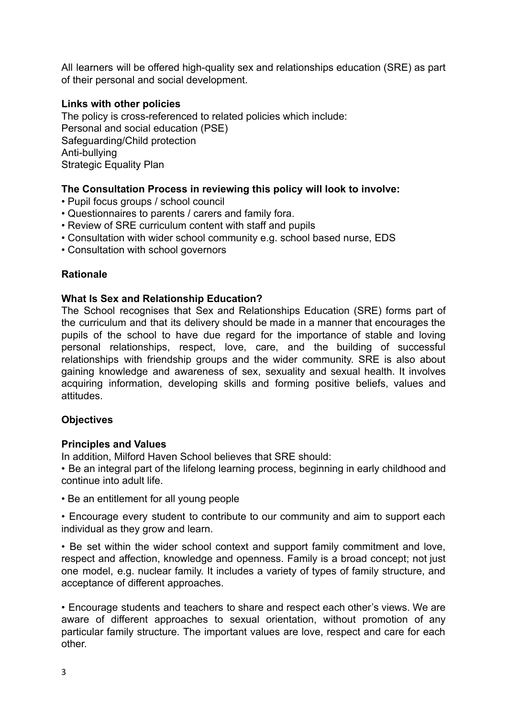All learners will be offered high-quality sex and relationships education (SRE) as part of their personal and social development.

# **Links with other policies**

The policy is cross-referenced to related policies which include: Personal and social education (PSE) Safeguarding/Child protection Anti-bullying Strategic Equality Plan

# **The Consultation Process in reviewing this policy will look to involve:**

- Pupil focus groups / school council
- Questionnaires to parents / carers and family fora.
- Review of SRE curriculum content with staff and pupils
- Consultation with wider school community e.g. school based nurse, EDS
- Consultation with school governors

# **Rationale**

#### **What Is Sex and Relationship Education?**

The School recognises that Sex and Relationships Education (SRE) forms part of the curriculum and that its delivery should be made in a manner that encourages the pupils of the school to have due regard for the importance of stable and loving personal relationships, respect, love, care, and the building of successful relationships with friendship groups and the wider community. SRE is also about gaining knowledge and awareness of sex, sexuality and sexual health. It involves acquiring information, developing skills and forming positive beliefs, values and attitudes.

# **Objectives**

# **Principles and Values**

In addition, Milford Haven School believes that SRE should:

• Be an integral part of the lifelong learning process, beginning in early childhood and continue into adult life.

• Be an entitlement for all young people

• Encourage every student to contribute to our community and aim to support each individual as they grow and learn.

• Be set within the wider school context and support family commitment and love, respect and affection, knowledge and openness. Family is a broad concept; not just one model, e.g. nuclear family. It includes a variety of types of family structure, and acceptance of different approaches.

• Encourage students and teachers to share and respect each other's views. We are aware of different approaches to sexual orientation, without promotion of any particular family structure. The important values are love, respect and care for each other.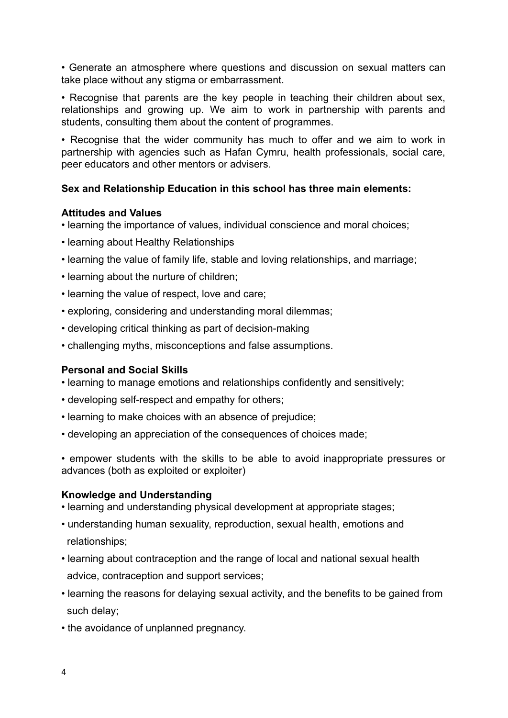• Generate an atmosphere where questions and discussion on sexual matters can take place without any stigma or embarrassment.

• Recognise that parents are the key people in teaching their children about sex, relationships and growing up. We aim to work in partnership with parents and students, consulting them about the content of programmes.

• Recognise that the wider community has much to offer and we aim to work in partnership with agencies such as Hafan Cymru, health professionals, social care, peer educators and other mentors or advisers.

# **Sex and Relationship Education in this school has three main elements:**

## **Attitudes and Values**

- learning the importance of values, individual conscience and moral choices;
- learning about Healthy Relationships
- learning the value of family life, stable and loving relationships, and marriage;
- learning about the nurture of children;
- learning the value of respect, love and care;
- exploring, considering and understanding moral dilemmas;
- developing critical thinking as part of decision-making
- challenging myths, misconceptions and false assumptions.

# **Personal and Social Skills**

- learning to manage emotions and relationships confidently and sensitively;
- developing self-respect and empathy for others;
- learning to make choices with an absence of prejudice;
- developing an appreciation of the consequences of choices made;
- empower students with the skills to be able to avoid inappropriate pressures or advances (both as exploited or exploiter)

#### **Knowledge and Understanding**

- learning and understanding physical development at appropriate stages;
- understanding human sexuality, reproduction, sexual health, emotions and relationships;
- learning about contraception and the range of local and national sexual health advice, contraception and support services;
- learning the reasons for delaying sexual activity, and the benefits to be gained from such delay;
- the avoidance of unplanned pregnancy.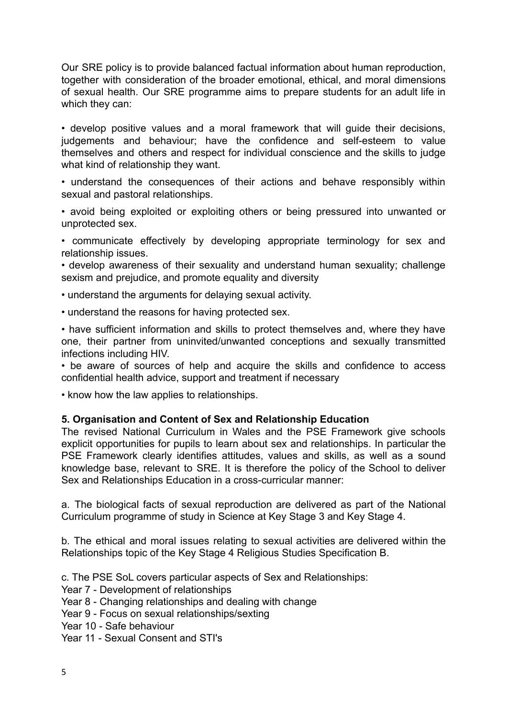Our SRE policy is to provide balanced factual information about human reproduction, together with consideration of the broader emotional, ethical, and moral dimensions of sexual health. Our SRE programme aims to prepare students for an adult life in which they can:

• develop positive values and a moral framework that will guide their decisions, judgements and behaviour; have the confidence and self-esteem to value themselves and others and respect for individual conscience and the skills to judge what kind of relationship they want.

• understand the consequences of their actions and behave responsibly within sexual and pastoral relationships.

• avoid being exploited or exploiting others or being pressured into unwanted or unprotected sex.

• communicate effectively by developing appropriate terminology for sex and relationship issues.

• develop awareness of their sexuality and understand human sexuality; challenge sexism and prejudice, and promote equality and diversity

• understand the arguments for delaying sexual activity.

• understand the reasons for having protected sex.

• have sufficient information and skills to protect themselves and, where they have one, their partner from uninvited/unwanted conceptions and sexually transmitted infections including HIV.

• be aware of sources of help and acquire the skills and confidence to access confidential health advice, support and treatment if necessary

• know how the law applies to relationships.

#### **5. Organisation and Content of Sex and Relationship Education**

The revised National Curriculum in Wales and the PSE Framework give schools explicit opportunities for pupils to learn about sex and relationships. In particular the PSE Framework clearly identifies attitudes, values and skills, as well as a sound knowledge base, relevant to SRE. It is therefore the policy of the School to deliver Sex and Relationships Education in a cross-curricular manner:

a. The biological facts of sexual reproduction are delivered as part of the National Curriculum programme of study in Science at Key Stage 3 and Key Stage 4.

b. The ethical and moral issues relating to sexual activities are delivered within the Relationships topic of the Key Stage 4 Religious Studies Specification B.

c. The PSE SoL covers particular aspects of Sex and Relationships:

Year 7 - Development of relationships

Year 8 - Changing relationships and dealing with change

Year 9 - Focus on sexual relationships/sexting

Year 10 - Safe behaviour

Year 11 - Sexual Consent and STI's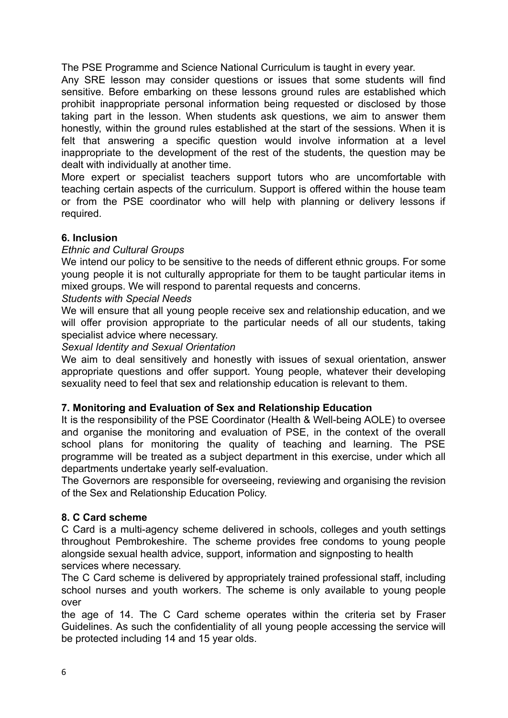The PSE Programme and Science National Curriculum is taught in every year.

Any SRE lesson may consider questions or issues that some students will find sensitive. Before embarking on these lessons ground rules are established which prohibit inappropriate personal information being requested or disclosed by those taking part in the lesson. When students ask questions, we aim to answer them honestly, within the ground rules established at the start of the sessions. When it is felt that answering a specific question would involve information at a level inappropriate to the development of the rest of the students, the question may be dealt with individually at another time.

More expert or specialist teachers support tutors who are uncomfortable with teaching certain aspects of the curriculum. Support is offered within the house team or from the PSE coordinator who will help with planning or delivery lessons if required.

## **6. Inclusion**

#### *Ethnic and Cultural Groups*

We intend our policy to be sensitive to the needs of different ethnic groups. For some young people it is not culturally appropriate for them to be taught particular items in mixed groups. We will respond to parental requests and concerns.

#### *Students with Special Needs*

We will ensure that all young people receive sex and relationship education, and we will offer provision appropriate to the particular needs of all our students, taking specialist advice where necessary.

#### *Sexual Identity and Sexual Orientation*

We aim to deal sensitively and honestly with issues of sexual orientation, answer appropriate questions and offer support. Young people, whatever their developing sexuality need to feel that sex and relationship education is relevant to them.

#### **7. Monitoring and Evaluation of Sex and Relationship Education**

It is the responsibility of the PSE Coordinator (Health & Well-being AOLE) to oversee and organise the monitoring and evaluation of PSE, in the context of the overall school plans for monitoring the quality of teaching and learning. The PSE programme will be treated as a subject department in this exercise, under which all departments undertake yearly self-evaluation.

The Governors are responsible for overseeing, reviewing and organising the revision of the Sex and Relationship Education Policy.

#### **8. C Card scheme**

C Card is a multi-agency scheme delivered in schools, colleges and youth settings throughout Pembrokeshire. The scheme provides free condoms to young people alongside sexual health advice, support, information and signposting to health services where necessary.

The C Card scheme is delivered by appropriately trained professional staff, including school nurses and youth workers. The scheme is only available to young people over

the age of 14. The C Card scheme operates within the criteria set by Fraser Guidelines. As such the confidentiality of all young people accessing the service will be protected including 14 and 15 year olds.